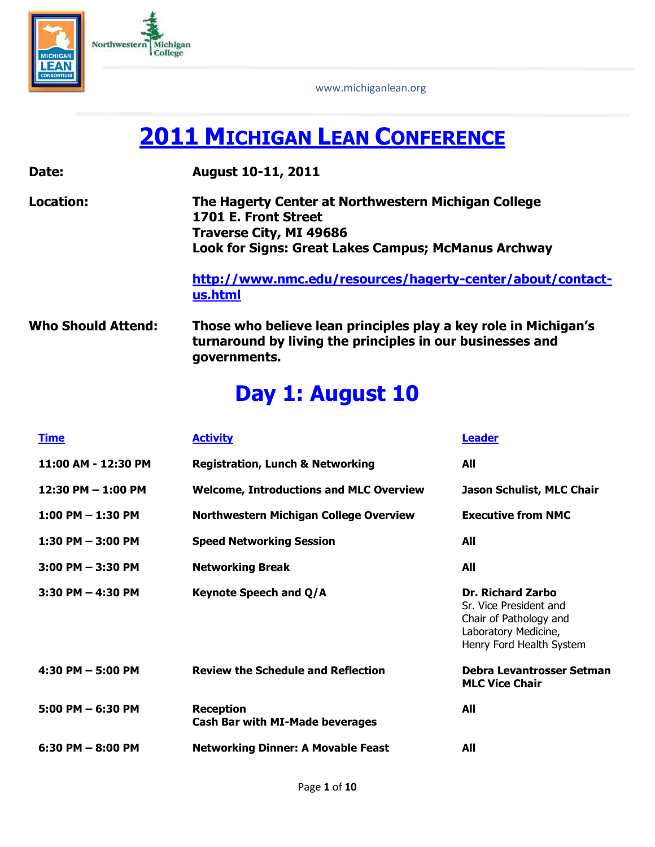

www.michiganlean.org

# **2011 MICHIGAN LEAN CONFERENCE**

| Date:                     | <b>August 10-11, 2011</b>                                                                                                                                                   |
|---------------------------|-----------------------------------------------------------------------------------------------------------------------------------------------------------------------------|
| Location:                 | The Hagerty Center at Northwestern Michigan College<br>1701 E. Front Street<br><b>Traverse City, MI 49686</b><br><b>Look for Signs: Great Lakes Campus; McManus Archway</b> |
|                           | http://www.nmc.edu/resources/hagerty-center/about/contact-<br>us.html                                                                                                       |
| <b>Who Should Attend:</b> | Those who believe lean principles play a key role in Michigan's<br>turnaround by living the principles in our businesses and<br>governments.                                |

## **Day 1: August 10**

| <b>Time</b>            | <b>Activity</b>                                            | Leader                                                                                                                           |
|------------------------|------------------------------------------------------------|----------------------------------------------------------------------------------------------------------------------------------|
| 11:00 AM - 12:30 PM    | <b>Registration, Lunch &amp; Networking</b>                | All                                                                                                                              |
| $12:30$ PM $- 1:00$ PM | <b>Welcome, Introductions and MLC Overview</b>             | Jason Schulist, MLC Chair                                                                                                        |
| $1:00$ PM $- 1:30$ PM  | Northwestern Michigan College Overview                     | <b>Executive from NMC</b>                                                                                                        |
| $1:30$ PM $-3:00$ PM   | <b>Speed Networking Session</b>                            | All                                                                                                                              |
| $3:00$ PM $- 3:30$ PM  | <b>Networking Break</b>                                    | All                                                                                                                              |
| $3:30$ PM $-$ 4:30 PM  | <b>Keynote Speech and Q/A</b>                              | <b>Dr. Richard Zarbo</b><br>Sr. Vice President and<br>Chair of Pathology and<br>Laboratory Medicine,<br>Henry Ford Health System |
| 4:30 PM $-$ 5:00 PM    | <b>Review the Schedule and Reflection</b>                  | Debra Levantrosser Setman<br><b>MLC Vice Chair</b>                                                                               |
| $5:00$ PM $-6:30$ PM   | <b>Reception</b><br><b>Cash Bar with MI-Made beverages</b> | All                                                                                                                              |
| $6:30$ PM $-$ 8:00 PM  | <b>Networking Dinner: A Movable Feast</b>                  | All                                                                                                                              |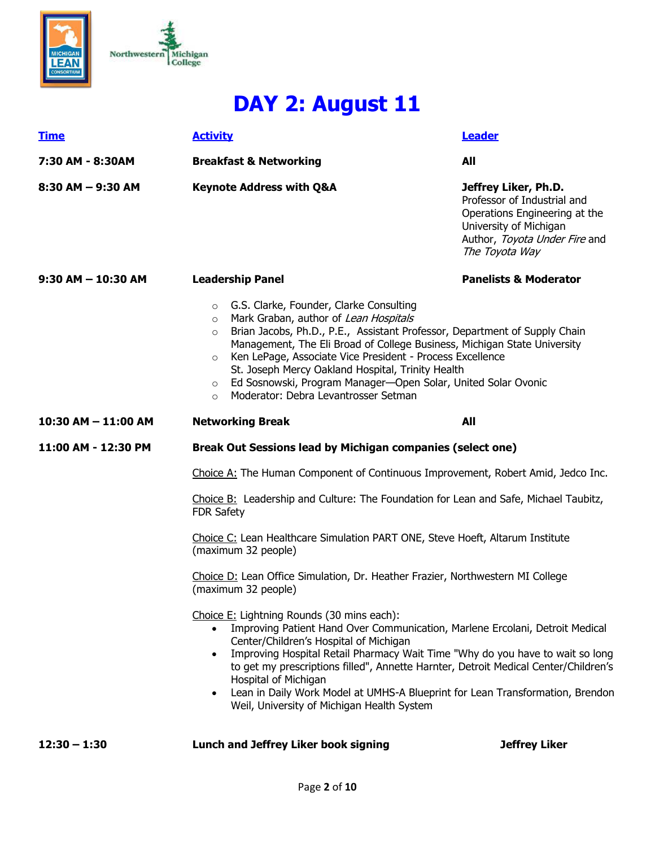



# **DAY 2: August 11**

| <b>Time</b>                                                                                           | <b>Activity</b>                                                                                                                                                                                                                                                                                                                                                                                                                                                                                                                | Leader                                                                                                                                                            |  |
|-------------------------------------------------------------------------------------------------------|--------------------------------------------------------------------------------------------------------------------------------------------------------------------------------------------------------------------------------------------------------------------------------------------------------------------------------------------------------------------------------------------------------------------------------------------------------------------------------------------------------------------------------|-------------------------------------------------------------------------------------------------------------------------------------------------------------------|--|
| 7:30 AM - 8:30AM                                                                                      | <b>Breakfast &amp; Networking</b>                                                                                                                                                                                                                                                                                                                                                                                                                                                                                              | All                                                                                                                                                               |  |
| $8:30$ AM $-9:30$ AM                                                                                  | <b>Keynote Address with Q&amp;A</b>                                                                                                                                                                                                                                                                                                                                                                                                                                                                                            | Jeffrey Liker, Ph.D.<br>Professor of Industrial and<br>Operations Engineering at the<br>University of Michigan<br>Author, Toyota Under Fire and<br>The Toyota Way |  |
| $9:30$ AM $-$ 10:30 AM                                                                                | <b>Leadership Panel</b>                                                                                                                                                                                                                                                                                                                                                                                                                                                                                                        | <b>Panelists &amp; Moderator</b>                                                                                                                                  |  |
|                                                                                                       | ○ G.S. Clarke, Founder, Clarke Consulting<br>Mark Graban, author of Lean Hospitals<br>$\circ$<br>Brian Jacobs, Ph.D., P.E., Assistant Professor, Department of Supply Chain<br>$\circ$<br>Management, The Eli Broad of College Business, Michigan State University<br>Ken LePage, Associate Vice President - Process Excellence<br>$\circ$<br>St. Joseph Mercy Oakland Hospital, Trinity Health<br>Ed Sosnowski, Program Manager-Open Solar, United Solar Ovonic<br>$\circ$<br>Moderator: Debra Levantrosser Setman<br>$\circ$ |                                                                                                                                                                   |  |
| 10:30 AM - 11:00 AM                                                                                   | <b>Networking Break</b>                                                                                                                                                                                                                                                                                                                                                                                                                                                                                                        | <b>All</b>                                                                                                                                                        |  |
| 11:00 AM - 12:30 PM                                                                                   | <b>Break Out Sessions lead by Michigan companies (select one)</b>                                                                                                                                                                                                                                                                                                                                                                                                                                                              |                                                                                                                                                                   |  |
|                                                                                                       | Choice A: The Human Component of Continuous Improvement, Robert Amid, Jedco Inc.                                                                                                                                                                                                                                                                                                                                                                                                                                               |                                                                                                                                                                   |  |
|                                                                                                       | Choice B: Leadership and Culture: The Foundation for Lean and Safe, Michael Taubitz,<br><b>FDR Safety</b>                                                                                                                                                                                                                                                                                                                                                                                                                      |                                                                                                                                                                   |  |
|                                                                                                       | Choice C: Lean Healthcare Simulation PART ONE, Steve Hoeft, Altarum Institute<br>(maximum 32 people)                                                                                                                                                                                                                                                                                                                                                                                                                           |                                                                                                                                                                   |  |
| Choice D: Lean Office Simulation, Dr. Heather Frazier, Northwestern MI College<br>(maximum 32 people) |                                                                                                                                                                                                                                                                                                                                                                                                                                                                                                                                |                                                                                                                                                                   |  |
|                                                                                                       | Choice E: Lightning Rounds (30 mins each):<br>Improving Patient Hand Over Communication, Marlene Ercolani, Detroit Medical<br>Center/Children's Hospital of Michigan<br>Improving Hospital Retail Pharmacy Wait Time "Why do you have to wait so long<br>$\bullet$<br>to get my prescriptions filled", Annette Harnter, Detroit Medical Center/Children's<br>Hospital of Michigan<br>Lean in Daily Work Model at UMHS-A Blueprint for Lean Transformation, Brendon<br>$\bullet$<br>Weil, University of Michigan Health System  |                                                                                                                                                                   |  |
| $12:30 - 1:30$                                                                                        | Lunch and Jeffrey Liker book signing                                                                                                                                                                                                                                                                                                                                                                                                                                                                                           | <b>Jeffrey Liker</b>                                                                                                                                              |  |

Page **2** of **10**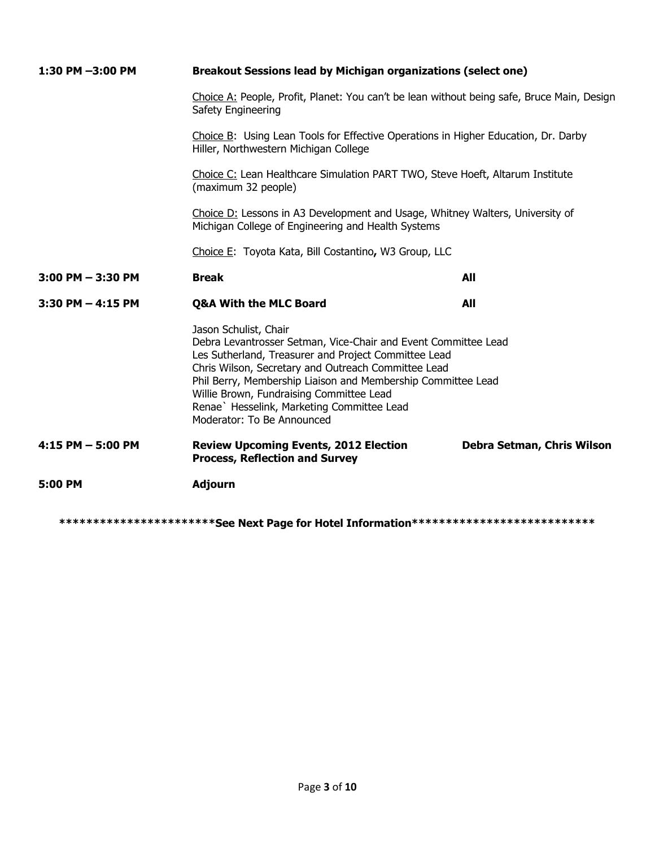| 1:30 PM -3:00 PM      | Breakout Sessions lead by Michigan organizations (select one)                                                                                                                                                                                                                                                                                                                                  |                            |  |
|-----------------------|------------------------------------------------------------------------------------------------------------------------------------------------------------------------------------------------------------------------------------------------------------------------------------------------------------------------------------------------------------------------------------------------|----------------------------|--|
|                       | Choice A: People, Profit, Planet: You can't be lean without being safe, Bruce Main, Design<br>Safety Engineering                                                                                                                                                                                                                                                                               |                            |  |
|                       | Choice B: Using Lean Tools for Effective Operations in Higher Education, Dr. Darby<br>Hiller, Northwestern Michigan College<br>Choice C: Lean Healthcare Simulation PART TWO, Steve Hoeft, Altarum Institute<br>(maximum 32 people)<br>Choice D: Lessons in A3 Development and Usage, Whitney Walters, University of<br>Michigan College of Engineering and Health Systems                     |                            |  |
|                       |                                                                                                                                                                                                                                                                                                                                                                                                |                            |  |
|                       |                                                                                                                                                                                                                                                                                                                                                                                                |                            |  |
|                       | Choice E: Toyota Kata, Bill Costantino, W3 Group, LLC                                                                                                                                                                                                                                                                                                                                          |                            |  |
| $3:00$ PM $-3:30$ PM  | <b>Break</b>                                                                                                                                                                                                                                                                                                                                                                                   | All                        |  |
| $3:30$ PM $-$ 4:15 PM | <b>Q&amp;A With the MLC Board</b>                                                                                                                                                                                                                                                                                                                                                              | All                        |  |
|                       | Jason Schulist, Chair<br>Debra Levantrosser Setman, Vice-Chair and Event Committee Lead<br>Les Sutherland, Treasurer and Project Committee Lead<br>Chris Wilson, Secretary and Outreach Committee Lead<br>Phil Berry, Membership Liaison and Membership Committee Lead<br>Willie Brown, Fundraising Committee Lead<br>Renae` Hesselink, Marketing Committee Lead<br>Moderator: To Be Announced |                            |  |
| $4:15$ PM $-5:00$ PM  | <b>Review Upcoming Events, 2012 Election</b><br><b>Process, Reflection and Survey</b>                                                                                                                                                                                                                                                                                                          | Debra Setman, Chris Wilson |  |
| 5:00 PM               | <b>Adjourn</b>                                                                                                                                                                                                                                                                                                                                                                                 |                            |  |
|                       | ************************See Next Page for Hotel Information**************************                                                                                                                                                                                                                                                                                                          |                            |  |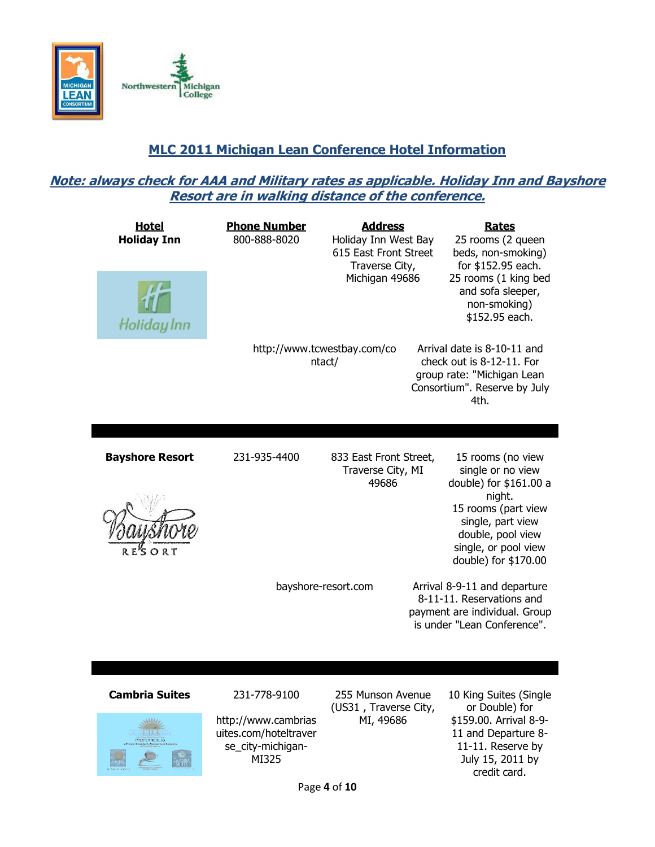

## **MLC 2011 Michigan Lean Conference Hotel Information**

### **Note: always check for AAA and Military rates as applicable. Holiday Inn and Bayshore Resort are in walking distance of the conference.**

| <b>Hotel</b><br><b>Holiday Inn</b><br>Holiday Inn | <b>Phone Number</b><br>800-888-8020 | <b>Address</b><br>Holiday Inn West Bay<br>615 East Front Street<br>Traverse City,<br>Michigan 49686<br>http://www.tcwestbay.com/co | <b>Rates</b><br>25 rooms (2 queen<br>beds, non-smoking)<br>for \$152.95 each.<br>25 rooms (1 king bed<br>and sofa sleeper,<br>non-smoking)<br>\$152.95 each.<br>Arrival date is 8-10-11 and |
|---------------------------------------------------|-------------------------------------|------------------------------------------------------------------------------------------------------------------------------------|---------------------------------------------------------------------------------------------------------------------------------------------------------------------------------------------|
|                                                   |                                     | ntact/                                                                                                                             | check out is 8-12-11. For<br>group rate: "Michigan Lean<br>Consortium". Reserve by July<br>4th.                                                                                             |
| <b>Bayshore Resort</b>                            | 231-935-4400                        | 833 East Front Street,<br>Traverse City, MI<br>49686                                                                               | 15 rooms (no view<br>single or no view<br>double) for \$161.00 a<br>night.<br>15 rooms (part view<br>single, part view<br>double, pool view<br>single, or pool view<br>double) for \$170.00 |
|                                                   |                                     | bayshore-resort.com                                                                                                                | Arrival 8-9-11 and departure<br>8-11-11. Reservations and<br>payment are individual. Group<br>is under "Lean Conference".                                                                   |
| <b>Cambria Suites</b>                             | 231-778-9100                        | 255 Munson Avenue                                                                                                                  | 10 King Suites (Single                                                                                                                                                                      |



http://www.cambrias uites.com/hoteltraver se\_city-michigan-MI325

255 Munson Avenue (US31 , Traverse City, MI, 49686

10 King Suites (Single or Double) for \$159.00. Arrival 8-9- 11 and Departure 8- 11-11. Reserve by July 15, 2011 by credit card.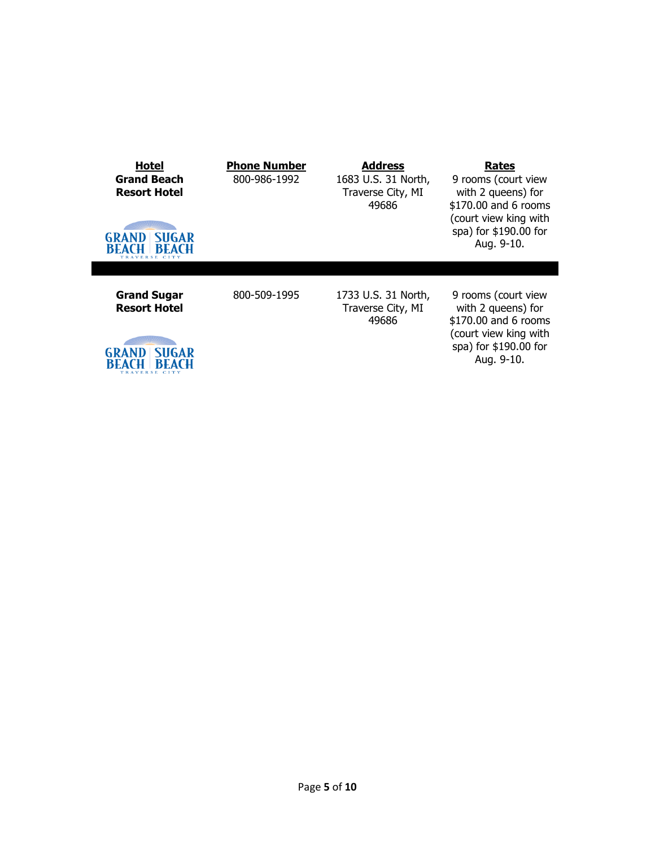| <b>Hotel</b><br><b>Grand Beach</b><br><b>Resort Hotel</b><br><b>GRAND</b><br>SUGAR<br><b>BEACH</b><br>BEACH | <b>Phone Number</b><br>800-986-1992 | <b>Address</b><br>1683 U.S. 31 North,<br>Traverse City, MI<br>49686 | Rates<br>9 rooms (court view<br>with 2 queens) for<br>\$170.00 and 6 rooms<br>(court view king with<br>spa) for \$190.00 for<br>Aug. 9-10. |
|-------------------------------------------------------------------------------------------------------------|-------------------------------------|---------------------------------------------------------------------|--------------------------------------------------------------------------------------------------------------------------------------------|
| <b>Grand Sugar</b><br><b>Resort Hotel</b><br>SUGAR<br>GRAND<br>BEACH                                        | 800-509-1995                        | 1733 U.S. 31 North,<br>Traverse City, MI<br>49686                   | 9 rooms (court view<br>with 2 queens) for<br>\$170.00 and 6 rooms<br>(court view king with<br>spa) for \$190.00 for<br>Aug. 9-10.          |

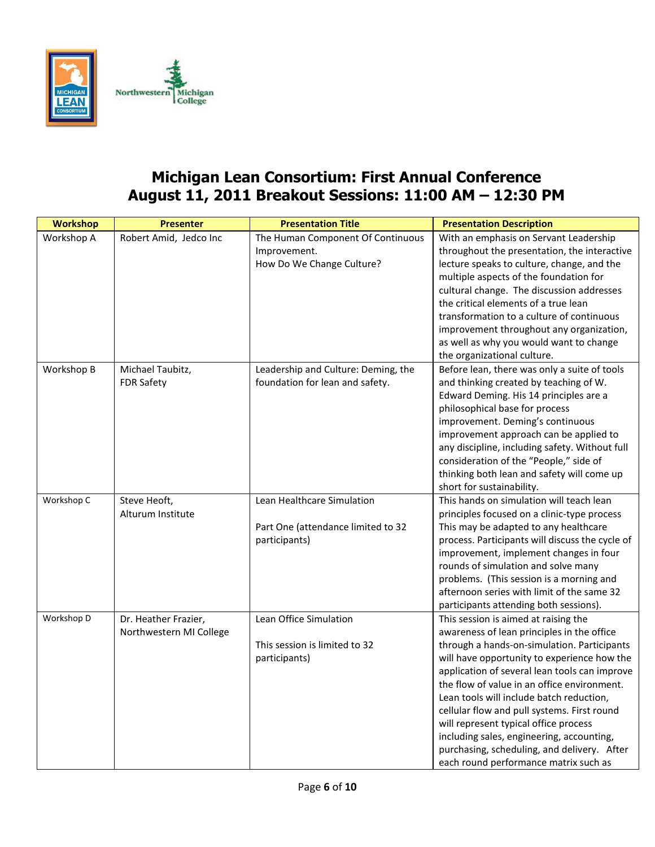

## **Michigan Lean Consortium: First Annual Conference August 11, 2011 Breakout Sessions: 11:00 AM – 12:30 PM**

| <b>Workshop</b> | <b>Presenter</b>                                | <b>Presentation Title</b>                                                         | <b>Presentation Description</b>                                                                                                                                                                                                                                                                                                                                                                                                                                                                                                                           |
|-----------------|-------------------------------------------------|-----------------------------------------------------------------------------------|-----------------------------------------------------------------------------------------------------------------------------------------------------------------------------------------------------------------------------------------------------------------------------------------------------------------------------------------------------------------------------------------------------------------------------------------------------------------------------------------------------------------------------------------------------------|
| Workshop A      | Robert Amid, Jedco Inc                          | The Human Component Of Continuous<br>Improvement.<br>How Do We Change Culture?    | With an emphasis on Servant Leadership<br>throughout the presentation, the interactive<br>lecture speaks to culture, change, and the<br>multiple aspects of the foundation for<br>cultural change. The discussion addresses<br>the critical elements of a true lean<br>transformation to a culture of continuous<br>improvement throughout any organization,<br>as well as why you would want to change<br>the organizational culture.                                                                                                                    |
| Workshop B      | Michael Taubitz,<br><b>FDR Safety</b>           | Leadership and Culture: Deming, the<br>foundation for lean and safety.            | Before lean, there was only a suite of tools<br>and thinking created by teaching of W.<br>Edward Deming. His 14 principles are a<br>philosophical base for process<br>improvement. Deming's continuous<br>improvement approach can be applied to<br>any discipline, including safety. Without full<br>consideration of the "People," side of<br>thinking both lean and safety will come up<br>short for sustainability.                                                                                                                                   |
| Workshop C      | Steve Heoft,<br>Alturum Institute               | Lean Healthcare Simulation<br>Part One (attendance limited to 32<br>participants) | This hands on simulation will teach lean<br>principles focused on a clinic-type process<br>This may be adapted to any healthcare<br>process. Participants will discuss the cycle of<br>improvement, implement changes in four<br>rounds of simulation and solve many<br>problems. (This session is a morning and<br>afternoon series with limit of the same 32<br>participants attending both sessions).                                                                                                                                                  |
| Workshop D      | Dr. Heather Frazier,<br>Northwestern MI College | Lean Office Simulation<br>This session is limited to 32<br>participants)          | This session is aimed at raising the<br>awareness of lean principles in the office<br>through a hands-on-simulation. Participants<br>will have opportunity to experience how the<br>application of several lean tools can improve<br>the flow of value in an office environment.<br>Lean tools will include batch reduction,<br>cellular flow and pull systems. First round<br>will represent typical office process<br>including sales, engineering, accounting,<br>purchasing, scheduling, and delivery. After<br>each round performance matrix such as |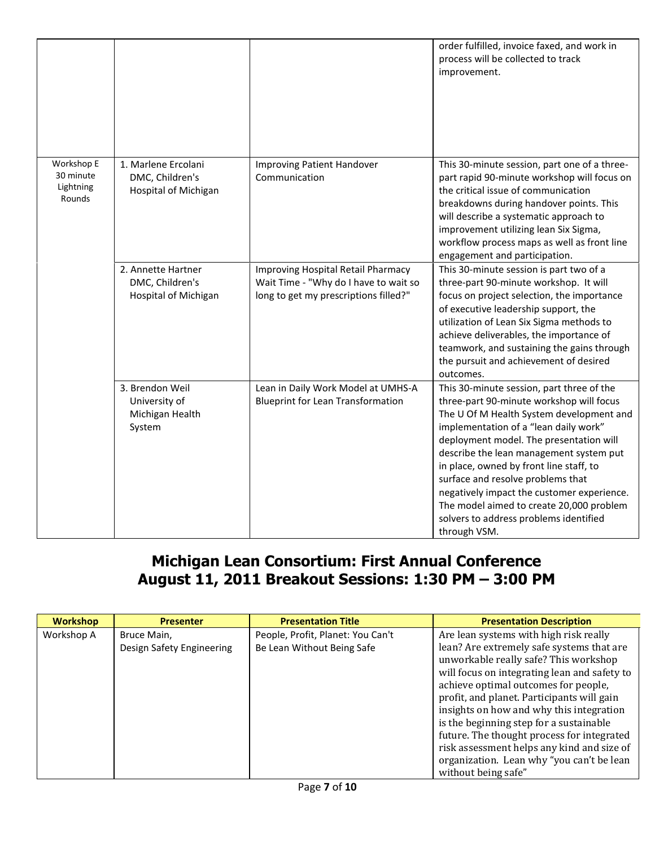|                                                |                                                                |                                                                                                                      | order fulfilled, invoice faxed, and work in<br>process will be collected to track<br>improvement.                                                                                                                                                                                                                                                                                                                                                                                                    |
|------------------------------------------------|----------------------------------------------------------------|----------------------------------------------------------------------------------------------------------------------|------------------------------------------------------------------------------------------------------------------------------------------------------------------------------------------------------------------------------------------------------------------------------------------------------------------------------------------------------------------------------------------------------------------------------------------------------------------------------------------------------|
| Workshop E<br>30 minute<br>Lightning<br>Rounds | 1. Marlene Ercolani<br>DMC, Children's<br>Hospital of Michigan | <b>Improving Patient Handover</b><br>Communication                                                                   | This 30-minute session, part one of a three-<br>part rapid 90-minute workshop will focus on<br>the critical issue of communication<br>breakdowns during handover points. This<br>will describe a systematic approach to<br>improvement utilizing lean Six Sigma,<br>workflow process maps as well as front line<br>engagement and participation.                                                                                                                                                     |
|                                                | 2. Annette Hartner<br>DMC, Children's<br>Hospital of Michigan  | Improving Hospital Retail Pharmacy<br>Wait Time - "Why do I have to wait so<br>long to get my prescriptions filled?" | This 30-minute session is part two of a<br>three-part 90-minute workshop. It will<br>focus on project selection, the importance<br>of executive leadership support, the<br>utilization of Lean Six Sigma methods to<br>achieve deliverables, the importance of<br>teamwork, and sustaining the gains through<br>the pursuit and achievement of desired<br>outcomes.                                                                                                                                  |
|                                                | 3. Brendon Weil<br>University of<br>Michigan Health<br>System  | Lean in Daily Work Model at UMHS-A<br><b>Blueprint for Lean Transformation</b>                                       | This 30-minute session, part three of the<br>three-part 90-minute workshop will focus<br>The U Of M Health System development and<br>implementation of a "lean daily work"<br>deployment model. The presentation will<br>describe the lean management system put<br>in place, owned by front line staff, to<br>surface and resolve problems that<br>negatively impact the customer experience.<br>The model aimed to create 20,000 problem<br>solvers to address problems identified<br>through VSM. |

## **Michigan Lean Consortium: First Annual Conference August 11, 2011 Breakout Sessions: 1:30 PM – 3:00 PM**

| <b>Workshop</b> | <b>Presenter</b>          | <b>Presentation Title</b>         | <b>Presentation Description</b>                                                    |
|-----------------|---------------------------|-----------------------------------|------------------------------------------------------------------------------------|
| Workshop A      | Bruce Main,               | People, Profit, Planet: You Can't | Are lean systems with high risk really                                             |
|                 | Design Safety Engineering | Be Lean Without Being Safe        | lean? Are extremely safe systems that are<br>unworkable really safe? This workshop |
|                 |                           |                                   | will focus on integrating lean and safety to                                       |
|                 |                           |                                   | achieve optimal outcomes for people,                                               |
|                 |                           |                                   | profit, and planet. Participants will gain                                         |
|                 |                           |                                   | insights on how and why this integration                                           |
|                 |                           |                                   | is the beginning step for a sustainable                                            |
|                 |                           |                                   | future. The thought process for integrated                                         |
|                 |                           |                                   | risk assessment helps any kind and size of                                         |
|                 |                           |                                   | organization. Lean why "you can't be lean                                          |
|                 |                           |                                   | without being safe"                                                                |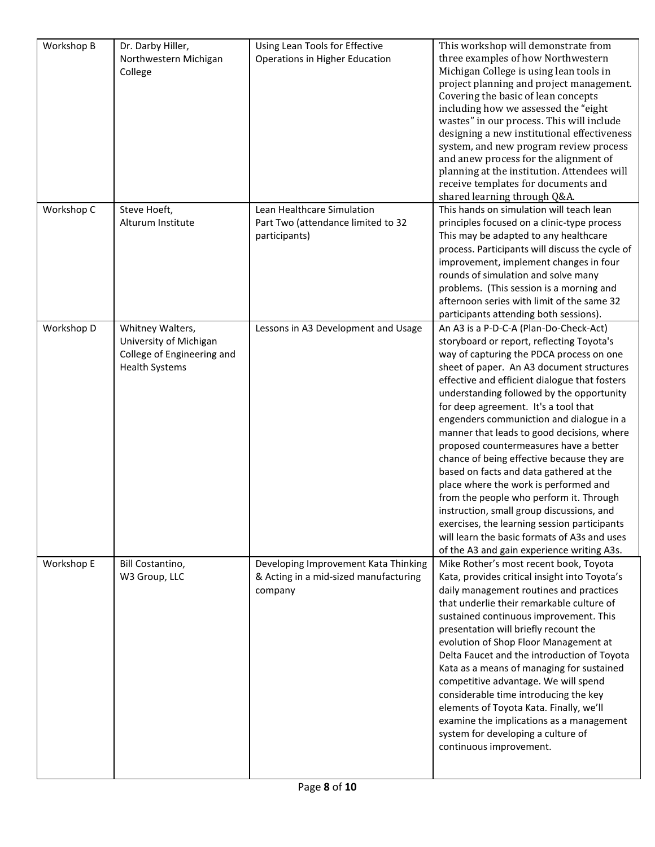| Workshop B | Dr. Darby Hiller,          | Using Lean Tools for Effective        | This workshop will demonstrate from             |
|------------|----------------------------|---------------------------------------|-------------------------------------------------|
|            | Northwestern Michigan      | Operations in Higher Education        | three examples of how Northwestern              |
|            | College                    |                                       | Michigan College is using lean tools in         |
|            |                            |                                       | project planning and project management.        |
|            |                            |                                       | Covering the basic of lean concepts             |
|            |                            |                                       | including how we assessed the "eight            |
|            |                            |                                       | wastes" in our process. This will include       |
|            |                            |                                       | designing a new institutional effectiveness     |
|            |                            |                                       | system, and new program review process          |
|            |                            |                                       | and anew process for the alignment of           |
|            |                            |                                       | planning at the institution. Attendees will     |
|            |                            |                                       | receive templates for documents and             |
|            |                            |                                       | shared learning through Q&A.                    |
| Workshop C | Steve Hoeft,               | Lean Healthcare Simulation            | This hands on simulation will teach lean        |
|            | Alturum Institute          | Part Two (attendance limited to 32    | principles focused on a clinic-type process     |
|            |                            | participants)                         | This may be adapted to any healthcare           |
|            |                            |                                       | process. Participants will discuss the cycle of |
|            |                            |                                       | improvement, implement changes in four          |
|            |                            |                                       | rounds of simulation and solve many             |
|            |                            |                                       | problems. (This session is a morning and        |
|            |                            |                                       | afternoon series with limit of the same 32      |
|            |                            |                                       | participants attending both sessions).          |
| Workshop D | Whitney Walters,           | Lessons in A3 Development and Usage   | An A3 is a P-D-C-A (Plan-Do-Check-Act)          |
|            | University of Michigan     |                                       | storyboard or report, reflecting Toyota's       |
|            | College of Engineering and |                                       | way of capturing the PDCA process on one        |
|            | <b>Health Systems</b>      |                                       | sheet of paper. An A3 document structures       |
|            |                            |                                       | effective and efficient dialogue that fosters   |
|            |                            |                                       | understanding followed by the opportunity       |
|            |                            |                                       | for deep agreement. It's a tool that            |
|            |                            |                                       | engenders communiction and dialogue in a        |
|            |                            |                                       | manner that leads to good decisions, where      |
|            |                            |                                       | proposed countermeasures have a better          |
|            |                            |                                       | chance of being effective because they are      |
|            |                            |                                       | based on facts and data gathered at the         |
|            |                            |                                       | place where the work is performed and           |
|            |                            |                                       | from the people who perform it. Through         |
|            |                            |                                       | instruction, small group discussions, and       |
|            |                            |                                       | exercises, the learning session participants    |
|            |                            |                                       | will learn the basic formats of A3s and uses    |
|            |                            |                                       | of the A3 and gain experience writing A3s.      |
| Workshop E | Bill Costantino,           | Developing Improvement Kata Thinking  | Mike Rother's most recent book, Toyota          |
|            | W3 Group, LLC              | & Acting in a mid-sized manufacturing | Kata, provides critical insight into Toyota's   |
|            |                            | company                               | daily management routines and practices         |
|            |                            |                                       | that underlie their remarkable culture of       |
|            |                            |                                       | sustained continuous improvement. This          |
|            |                            |                                       | presentation will briefly recount the           |
|            |                            |                                       | evolution of Shop Floor Management at           |
|            |                            |                                       | Delta Faucet and the introduction of Toyota     |
|            |                            |                                       | Kata as a means of managing for sustained       |
|            |                            |                                       | competitive advantage. We will spend            |
|            |                            |                                       | considerable time introducing the key           |
|            |                            |                                       | elements of Toyota Kata. Finally, we'll         |
|            |                            |                                       | examine the implications as a management        |
|            |                            |                                       | system for developing a culture of              |
|            |                            |                                       | continuous improvement.                         |
|            |                            |                                       |                                                 |
|            |                            |                                       |                                                 |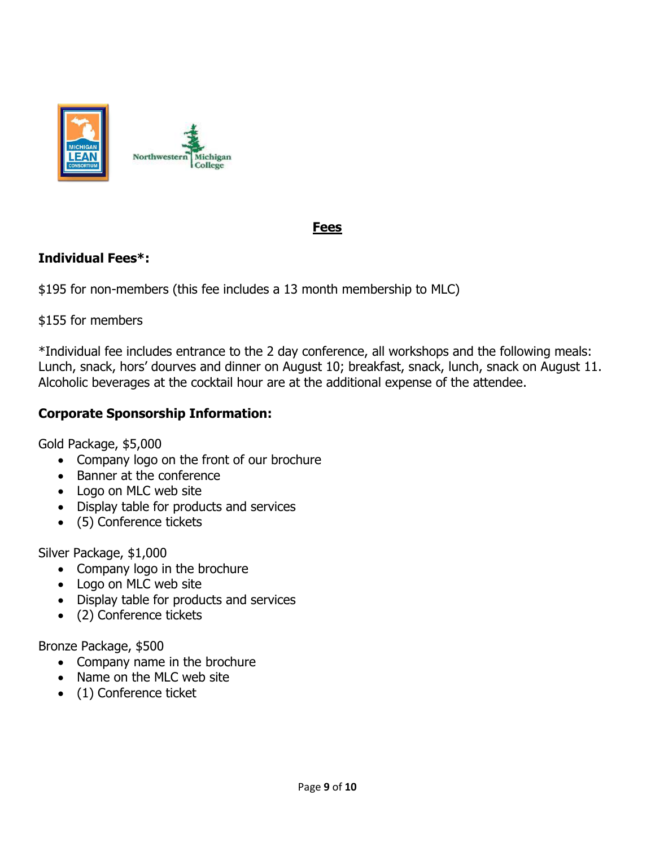

### **Fees**

## **Individual Fees\*:**

\$195 for non-members (this fee includes a 13 month membership to MLC)

Michigan

#### \$155 for members

\*Individual fee includes entrance to the 2 day conference, all workshops and the following meals: Lunch, snack, hors' dourves and dinner on August 10; breakfast, snack, lunch, snack on August 11. Alcoholic beverages at the cocktail hour are at the additional expense of the attendee.

### **Corporate Sponsorship Information:**

Gold Package, \$5,000

- Company logo on the front of our brochure
- Banner at the conference
- Logo on MLC web site
- Display table for products and services
- (5) Conference tickets

Silver Package, \$1,000

- Company logo in the brochure
- Logo on MLC web site
- Display table for products and services
- (2) Conference tickets

Bronze Package, \$500

- Company name in the brochure
- Name on the MLC web site
- (1) Conference ticket